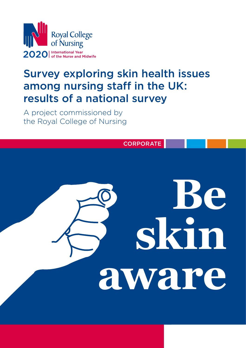

# Survey exploring skin health issues among nursing staff in the UK: results of a national survey

A project commissioned by the Royal College of Nursing

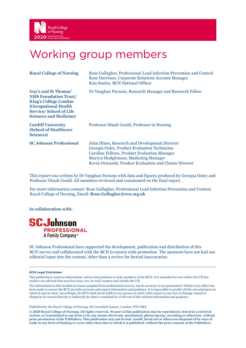

# Working group members

| <b>Royal College of Nursing</b>                                                                                                                                                       | Rose Gallagher, Professional Lead Infection Prevention and Control<br>Rose Harrison, Corporate Relations Account Manager<br>Kim Sunley, RCN National Officer                                                                                   |
|---------------------------------------------------------------------------------------------------------------------------------------------------------------------------------------|------------------------------------------------------------------------------------------------------------------------------------------------------------------------------------------------------------------------------------------------|
| Guy's and St Thomas'<br><b>NHS Foundation Trust/</b><br><b>King's College London</b><br><b>(Occupational Health</b><br><b>Service/School of Life</b><br><b>Sciences and Medicine)</b> | Dr Vaughan Parsons, Research Manager and Research Fellow                                                                                                                                                                                       |
| <b>Cardiff University</b><br>(School of Healthcare<br>Sciences)                                                                                                                       | Professor Dinah Gould, Professor in Nursing                                                                                                                                                                                                    |
| <b>SC Johnson Professional</b>                                                                                                                                                        | John Hines, Research and Development Director<br>Georgia Oxley, Product Evaluation Technician<br>Caroline Fellows, Product Evaluation Manager<br>Martyn Hodgkinson, Marketing Manager<br>Kevin Ormandy, Product Evaluation and Claims Director |

This report was written by Dr Vaughan Parsons with data and figures produced by Georgia Oxley and Professor Dinah Gould. All members reviewed and commented on the final report.

For more information contact: Rose Gallagher, Professional Lead Infection Prevention and Control, Royal College of Nursing, Email: **Rose.Gallagher@rcn.org.uk**

**In collaboration with:** 



SC Johnson Professional have supported the development, publication and distribution of this RCN survey and collaborated with the RCN to ensure wide promotion. The sponsors have not had any editorial input into the content, other than a review for factual inaccuracies.

#### **RCN Legal Disclaimer**

This publication contains information, advice and guidance to help members of the RCN. It is intended for use within the UK but readers are advised that practices may vary in each country and outside the UK.

The information in this booklet has been compiled from professional sources, but its accuracy is not guaranteed. Whilst every effort has been made to ensure the RCN provides accurate and expert information and guidance, it is impossible to predict all the circumstances in which it may be used. Accordingly, the RCN shall not be liable to any person or entity with respect to any loss or damage caused or alleged to be caused directly or indirectly by what is contained in or left out of this website information and guidance.

Published by the Royal College of Nursing, 20 Cavendish Square, London, W1G 0RN

**© 2020 Royal College of Nursing. All rights reserved. No part of this publication may be reproduced, stored in a retrieval system, or transmitted in any form or by any means electronic, mechanical, photocopying, recording or otherwise, without prior permission of the Publishers. This publication may not be lent, resold, hired out or otherwise disposed of by ways of trade in any form of binding or cover other than that in which it is published, without the prior consent of the Publishers.**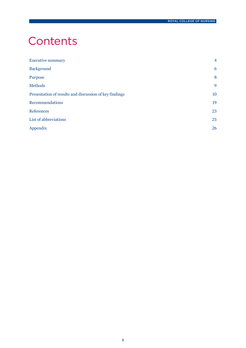# **Contents**

| <b>Executive summary</b>                               | $\overline{4}$ |
|--------------------------------------------------------|----------------|
| <b>Background</b>                                      | 6              |
| Purpose                                                | 8              |
| <b>Methods</b>                                         | 9              |
| Presentation of results and discussion of key findings | 10             |
| Recommendations                                        | 19             |
| <b>References</b>                                      | 23             |
| List of abbreviations                                  | 25             |
| Appendix                                               | 26             |
|                                                        |                |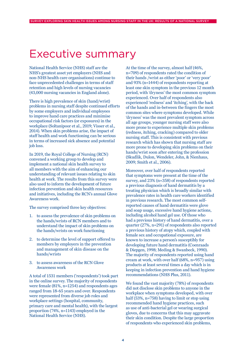# Executive summary

National Health Service (NHS) staff are the NHS's greatest asset yet employers (NHS and non-NHS health care organisations) continue to face unprecedented challenges in terms of staff retention and high levels of nursing vacancies (43,000 nursing vacancies in England alone).

There is high prevalence of skin (hand/wrist) problems in nursing staff despite continued efforts by some employers and individual employees to improve hand care practices and minimise occupational risk factors (or exposures) in the workplace (Soltanipoor et al., 2019; Visser et al., 2014). When skin problems arise, the impact of staff health and work functioning can be serious in terms of increased sick absence and potential job loss.

In 2019, the Royal College of Nursing (RCN) convened a working group to develop and implement a national skin health survey to all members with the aim of enhancing our understanding of relevant issues relating to skin health at work. The results from this survey were also used to inform the development of future infection prevention and skin health resources and initiatives, including the RCN's annual Glove Awareness work.

The survey comprised three key objectives:

- 1. to assess the prevalence of skin problems on the hands/wrists of RCN members and to understand the impact of skin problems on the hands/wrists on work functioning
- 2. to determine the level of support offered to members by employers in the prevention and management of skin disease on the hands/wrists
- 3. to assess awareness of the RCN Glove Awareness work

A total of 1531 members ('respondents') took part in the online survey. The majority of respondents were female (81%, n=1254) and respondents ages ranged from 18-65 years and over. Respondents were represented from diverse job roles and workplace settings (hospital, community, primary care and mental health), with the largest proportion (74%, n=1143) employed in the National Health Service (NHS).

At the time of the survey, almost half (46%, n=709) of respondents rated the condition of their hands /wrist as either 'poor' or 'very poor' and 93% (n=1444) of respondents reporting at least one skin symptom in the previous 12 month period, with 'dryness' the most common symptom experienced. Over half of respondents also experienced 'redness' and 'itching', with the back of the hands and in-between the fingers the most common sites where symptoms developed. While 'dryness' was the most prevalent symptom across all age groups, younger nursing staff were also more prone to experience multiple skin problems (redness, itching, cracking) compared to older nursing staff. This is consistent with previous research which has shown that nursing staff are more prone to developing skin problems on their hands/wrist soon after entering the profession (Skudlik, Dulon, Wendeler, John, & Nienhaus, 2009; Smith et al., 2006).

Moreover, over half of respondents reported that symptoms were present at the time of the survey, and 23% (n=358) of respondents reported a previous diagnosis of hand dermatitis by a treating physician which is broadly similar with prevalence rates in health care workers identified in previous research. The most common selfreported causes of hand dermatitis were glove and soap usage, excessive hand hygiene actions, including alcohol hand gel use. Of those who had a previous history of hand dermatitis, over a quarter (27%, n=291) of respondents also reported a previous history of atopy which, coupled with female sex and occupational exposure, are known to increase a person's susceptibly for developing future hand dermatitis (Coenraads & Diepgen, 1998; Meding & Swanbeck, 1990). The majority of respondents reported using hand cream at work, with over half (68%, n=957) using products at least several times a day which is in keeping in infection prevention and hand hygiene recommendations (NHS Plus, 2011).

We found the vast majority (78%) of respondents did not disclose skin problems to anyone in the workplace when symptoms developed, with over half (53%, n=758) having to limit or stop using recommended hand hygiene practices, such as use of anti-bacterial gel or wearing surgical gloves, due to concerns that this may aggravate their skin condition. Despite the large proportion of respondents who experienced skin problems,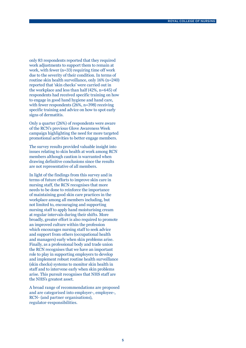only 83 respondents reported that they required work adjustments to support them to remain at work, with fewer (n=33) requiring time off work due to the severity of their condition. In terms of routine skin health surveillance, only 16% (n=240) reported that 'skin checks' were carried out in the workplace and less than half (42%, n=645) of respondents had received specific training on how to engage in good hand hygiene and hand care, with fewer respondents (26%, n=398) receiving specific training and advice on how to spot early signs of dermatitis.

Only a quarter (26%) of respondents were aware of the RCN's previous Glove Awareness Week campaign highlighting the need for more targeted promotional activities to better engage members.

The survey results provided valuable insight into issues relating to skin health at work among RCN members although caution is warranted when drawing definitive conclusions since the results are not representative of all members.

In light of the findings from this survey and in terms of future efforts to improve skin care in nursing staff, the RCN recognises that more needs to be done to reinforce the importance of maintaining good skin care practices in the workplace among all members including, but not limited to, encouraging and supporting nursing staff to apply hand moisturising cream at regular intervals during their shifts. More broadly, greater effort is also required to promote an improved culture within the profession which encourages nursing staff to seek advice and support from others (occupational health and managers) early when skin problems arise. Finally, as a professional body and trade union the RCN recognises that we have an important role to play in supporting employers to develop and implement robust routine health surveillance (skin checks) systems to monitor skin health in staff and to intervene early when skin problems arise. This pursuit recognises that NHS staff are the NHS's greatest asset.

A broad range of recommendations are proposed and are categorised into employer-, employee-, RCN- (and partner organisations), regulator-responsibilities.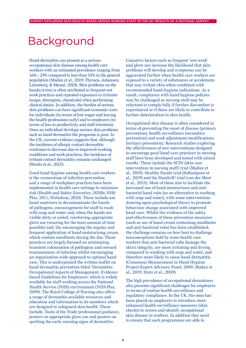# Background

Hand dermatitis can present as a serious occupational skin disease among health care workers with an estimated prevalence ranging from 16% - 24% compared to less than 10% in the general population (Madan et al., 2019; Thyssen, Johansen, Linneberg, & Menné, 2010). Skin problems on the hands/wrists is often attributed to frequent wet work practices and repeated exposures to irritants (soaps, detergents, chemicals) when performing clinical duties. In addition, the burden of serious skin problems can have significant economic costs for individuals (in terms of lost wages and leaving the health professions early) and to employers (in terms of loss to productivity and staff retention). Once an individual develops serious skin problems such as hand dermatitis the prognosis is poor. In the UK, current evidence suggests that, although the incidence of allergic contact dermatitis continues to decrease due to improved working conditions and work practices, the incidence of irritant contact dermatitis remains unchanged (Stocks et al., 2015).

Good hand hygiene among health care workers is the cornerstone of infection prevention and a range of workplace practices have been implemented in health care settings to minimise risk (Health and Safety Executive, 2020b; NHS Plus, 2011; Nicholson, 2010). These include use hand sanitisers to decontaminate the hands of pathogens, encouragement for staff to wash with soap and water only when the hands are visible dirty or soiled, reinforcing appropriate glove use (wearing for the least amount of time possible) and, the encouraging the regular and frequent application of hand moisturising cream which contain emollients during the day. These practices are largely focused on minimising transient colonisation of pathogens and onward transmissions of infection whilst encouraging an organisation-wide approach to optimal hand care. This is underpinned the written leaflet on hand dermatitis prevention titled 'Dermatitis: Occupational Aspects of Management- Evidence based Guidelines for Employees' which is widely available for staff working across the National Health Service (NHS) environment (NHS Plus, 2009). The Royal College of Nursing also offers a range of dermatitis available resources and education and information to its members which are designed to safeguard skin health. These include, Tools of the Trade professional guidance, posters on appropriate glove use and posters on spotting the early warning signs of dermatitis.

Causative factors such as frequent 'wet-work' and glove use increase the likelihood that skin problems will develop and symptoms can be aggravated further when health care workers are exposed to a variety of substances or accelerants that may irritate skin when combined with recommended hand-hygiene indications. As a result, compliance with hand hygiene policies may be challenged as nursing staff may be reluctant to comply fully if further discomfort is experienced or if these are likely to contribute to further deterioration in skin health.

Occupational skin disease is often considered in terms of preventing the onset of disease (primary prevention), health surveillance (secondary prevention) and work adjustment/modifications (tertiary prevention). Research studies exploring the effectiveness of new interventions designed to encourage good hand care practices in nursing staff have been developed and tested with mixed results. These include the SCIN (skin care intervention in nursing staff) trial (Madan et al., 2019), Healthy Hands trial (Soltanipoor et al., 2019) and the Hands4U trial (van der Meer et al., 2015). Most of these aim to facilitate the increased use of hand moisturisers and antibacterial hand rubs (as an alternative to washing with soap and water), with some interventions drawing upon psychological theory to promote behaviour change associated with improved hand care. Whilst the evidence of the safety and effectiveness of these prevention measures (such as use of hand cream containing emollients and anti-bacterial rubs) has been established, the challenge remains on how best to challenge misconceptions held by some health care workers that anti-bacterial rubs damage the skin's integrity, are more irritating and drying compared to washing with soap and water, and therefore more likely to cause hand dermatitis (Consensus Measurement in Hand Hygiene Project Expert Advisory Panel, 2009; Madan et al., 2019; Stutz et al., 2009).

The high prevalence of occupational dermatoses also presents significant challenges for employers in terms of routine health surveillance and regulatory compliance. In the UK, the onus has been placed on employers to introduce more enhanced health surveillance measures (skin checks) to screen and identify occupational skin disease in workers. In addition they need to ensure that such programmes are able to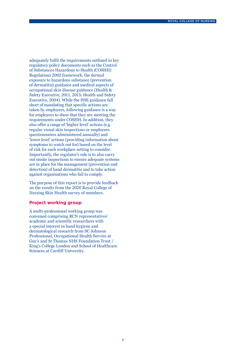adequately fulfil the requirements outlined in key regulatory policy documents such as the Control of Substances Hazardous to Health (COSHH) Regulations 2002 framework, the dermal exposure to hazardous substance (prevention of dermatitis) guidance and medical aspects of occupational skin disease guidance (Health & Safety Executive, 2011, 2015; Health and Safety Executive, 2004). While the HSE guidance fall short of mandating that specific actions are taken by employers, following guidance is a way for employers to show that they are meeting the requirements under COSHH. In addition, they also offer a range of 'higher level' actions (e.g. regular visual skin inspections or employees questionnaires administered annually) and 'lower level' actions (providing information about symptoms to watch out for) based on the level of risk for each workplace setting to consider. Importantly, the regulator's role is to also carry out onsite inspections to ensure adequate systems are in place for the management (prevention and detection) of hand dermatitis and to take action against organisations who fail to comply.

The purpose of this report is to provide feedback on the results from the 2020 Royal College of Nursing Skin Health survey of members.

#### **Project working group**

A multi-professional working group was convened comprising RCN representatives' academic and scientific researchers with a special interest in hand hygiene and dermatological research from SC Johnson Professional, Occupational Health Service at Guy's and St Thomas NHS Foundation Trust / King's College London and School of Healthcare Sciences at Cardiff University.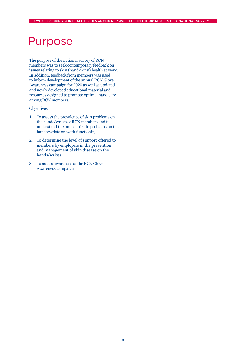# Purpose

The purpose of the national survey of RCN members was to seek contemporary feedback on issues relating to skin (hand/wrist) health at work. In addition, feedback from members was used to inform development of the annual RCN Glove Awareness campaign for 2020 as well as updated and newly developed educational material and resources designed to promote optimal hand care among RCN members.

#### Objectives:

- 1. To assess the prevalence of skin problems on the hands/wrists of RCN members and to understand the impact of skin problems on the hands/wrists on work functioning
- 2. To determine the level of support offered to members by employers in the prevention and management of skin disease on the hands/wrists
- 3. To assess awareness of the RCN Glove Awareness campaign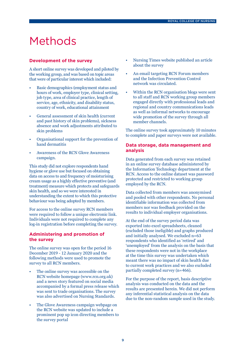# Methods

#### **Development of the survey**

A short online survey was developed and piloted by the working group, and was based on topic areas that were of particular interest which included:

- Basic demographics (employment status and hours of work, employer type, clinical setting, job type, area of clinical practice, length of service, age, ethnicity, and disability status, country of work, educational attainment
- General assessment of skin health (current and past history of skin problems), sickness absence and work adjustments attributed to skin problems
- Organisational support for the prevention of hand dermatitis
- Awareness of the RCN Glove Awareness campaign.

This study did not explore respondents hand hygiene or glove use but focused on obtaining data on access to and frequency of moisturising cream usage as a highly effective preventive (and treatment) measure which protects and safeguards skin health, and so we were interested in understanding the extent to which this protective behaviour was being adopted by members.

For access to the online survey RCN members were required to follow a unique electronic link. Individuals were not required to complete any log-in registration before completing the survey.

### **Administering and promotion of the survey**

The online survey was open for the period 16 December 2019 - 12 January 2020 and the following methods were used to promote the survey to all RCN members.

- The online survey was accessible on the RCN website homepage (www.rcn.org.uk) and a news story featured on social media accompanied by a formal press release which was sent to trade organisations. The survey was also advertised on Nursing Standards.
- The Glove Awareness campaign webpage on the RCN website was updated to include a prominent pop up icon directing members to the survey portal
- Nursing Times website published an article about the survey
- An email targeting RCN Forum members and the Infection Prevention Control network was circulated.
- Within the RCN organisation blogs were sent to all staff and RCN working group members engaged directly with professional leads and regional and country communications leads as well as informal networks to encourage wide promotion of the survey through all member channels.

The online survey took approximately 10 minutes to complete and paper surveys were not available.

#### **Data storage, data management and analysis**

Data generated from each survey was retained in an online survey database administered by the Information Technology department at the RCN. Access to the online dataset was password protected and restricted to working group employed by the RCN.

Data collected from members was anonymised and pooled with other respondents. No personal identifiable information was collected from members nor was feedback provided on the results to individual employer organisations.

At the end of the survey period data was exported into excel spreadsheets, cleaned (excluded those ineligible) and graphs produced and initially analysed. We excluded n=63 respondents who identified as 'retired' and 'unemployed' from the analysis on the basis that these respondents were not in the workplace at the time this survey was undertaken which meant there was no impact of skin health due to current work practices and we also excluded partially completed survey (n=466).

For the purpose of the report, basis descriptive analysis was conducted on the data and the results are presented herein. We did not perform any inferential statistical analysis on the data due to the non-random sample used in the study.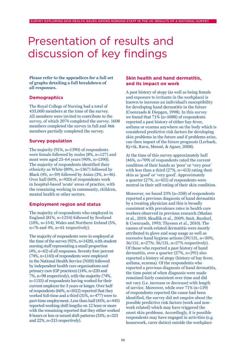# Presentation of results and discussion of key findings

**Please refer to the appendices for a full set of graphs detailing a full breakdown of all responses.**

### **Demographics**

The Royal College of Nursing had a total of 435,000 members at the time of the survey. All members were invited to contribute to the survey, of which 2074 completed the survey. 1608 members completed the survey in full and 466 members partially completed the survey.

### **Survey population**

The majority (91%, n=1390) of respondents were female followed by males (8%, n=127) and most were aged 25-64 years (90%, n=1390). The majority of respondents identified their ethnicity as White (89%, n=1367) followed by Black (4%, n=59) followed by Asian  $(3\%, n=46)$ . Over half (60%, n=920) of respondents work in hospital-based 'acute' areas of practice, with the remaining working in community, children, mental health or other sectors.

### **Employment region and status**

The majority of respondents who employed in England (81%, n=1254) followed by Scotland (10%, n=154), Wales and Northern Ireland (5%, n=76 and 4%, n=61 respectively).

The majority of respondents were in employed at the time of the survey (92%, n=1428), with student nursing staff representing a small proportion (4%, n=62) of all responses. Seventy four percent (74%, n=1143) of respondents were employed in the National Health Service (NHS) followed by independent health care organisations and primary care (GP practices) (14%, n=220 and 7%, n=98 respectively), with the majority (74%, n=1135) of respondents having worked for their current employer for 3 years or longer. Over half of respondents (66%, n=1012) reported that they worked full-time and a third (31%, n=477) were in part-time employment. Less than half (45%, n=445) reported working shift lengths on 12 hour or more with the remaining reported that they either worked 8 hours or less or mixed shift patterns (33%, n=325 and 22%, n=215 respectively).

### **Skin health and hand dermatitis, and its impact on work**

A past history of atopy (as well as being female and exposure to irritants in the workplace) is known to increase an individual's susceptibility for developing hand dermatitis in the future (Coenraads & Diepgen, 1998). In this survey we found that 71% (n=1088) of respondents reported a past history of either hay-fever, asthma or eczema anywhere on the body which is considered predictive risk factors for developing skin problems in the future and if problems arise, can then impact of the future prognosis (Lerbaek, Kyvik, Ravn, Menné, & Agner, 2008).

At the time of this survey approximately half (46%, n=709) of respondents rated the current condition of their hands as 'poor' or 'very poor' with less than a third (27%, n=413) rating their skin as 'good' or 'very good'. Approximately a quarter (27%, n=421) of respondents were neutral in their self-rating of their skin condition.

Moreover, we found 23% (n=358) of respondents reported a previous diagnosis of hand dermatitis by a treating physician and this is broadly consistent with prevalence rates in health care workers observed in previous research (Madan et al., 2019; Skudlik et al., 2009; Smit, Burdorf, & Coenraads, 1993; Thyssen et al., 2010). The causes of work-related dermatitis were mostly attributed to glove and soap usage as well as excessive hand hygiene actions (39/131, n=30%; 36/131, n=27%; 36/131, n=27% respectively). Of those who reported a past history of hand dermatitis, over a quarter (27%, n=291) also reported a history of atopy (history of hay fever, asthma, eczema). Of the respondents who reported a previous diagnosis of hand dermatitis, the time point of when diagnosis were made remained fairly consistent over time and did not vary (i.e. increase or decrease) with length of service. Moreover, while over 71% (n=139) of respondents reported the cause had been identified, the survey did not enquire about the possible predictive risk factors (work and nonwork related) which may have triggered the onset skin problems. Accordingly, it is possible respondents may have engaged in activities (e.g. housework, carer duties) outside the workplace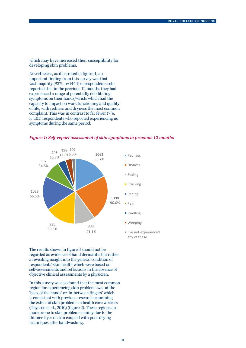which may have increased their susceptibility for developing skin problems.

Nevertheless, as illustrated in figure 1, an important finding from this survey was that vast majority (93%, n=1444) of respondents selfreported that in the previous 12 months they had experienced a range of potentially debilitating symptoms on their hands/wrists which had the capacity to impact on work functioning and quality of life, with redness and dryness the most common complaint. This was in contrast to far fewer (7%, n=101) respondents who reported experiencing no symptoms during the same period.





The results shown in figure 3 should not be regarded as evidence of hand dermatitis but rather a revealing insight into the general condition of respondents' skin health which were based on self-assessments and reflections in the absence of objective clinical assessments by a physician.

In this survey we also found that the most common region for experiencing skin problems was at the 'back of the hands' or 'in-between fingers' which is consistent with previous research examining the extent of skin problems in health care workers (Thyssen et al., 2010) (figure 2). These regions are more prone to skin problems mainly due to the thinner layer of skin coupled with poor drying techniques after handwashing.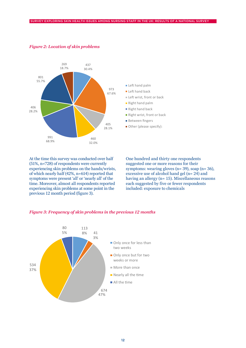

#### *Figure 2: Location of skin problems*

reover, almost all responder experiencing skin problems at some point in the nopicins at some 8% 41 5% previous 12 month period (figure 3). experiencing skin problems on the hands/wrists, of which nearly half (42%, n=614) reported that time. Moreover, almost all respondents reported At the time this survey was conducted over half (51%, n=728) of respondents were currently symptoms were present 'all' or 'nearly all' of the

One hundred and thirty one respondents suggested one or more reasons for their symptoms: wearing gloves (n= 39), soap (n= 36), excessive use of alcohol hand gel (n= 24) and having an allergy (n= 15). Miscellaneous reasons each suggested by five or fewer respondents included: exposure to chemicals

#### onrevious 12 months<br>Correvious 12 months  $\mathbf{w}$  or  $\mathbf{w}$ *Figure 3: Frequency of skin problems in the previous 12 months*

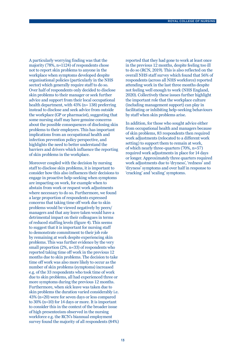A particularly worrying finding was that the majority (78%, n=1124) of respondents chose not to report skin problems to anyone in the workplace when symptoms developed despite organisational policies (particularly in the NHS sector) which generally require staff to do so. Over half of respondents only decided to disclose skin problems to their manager or seek further advice and support from their local occupational health department, with 43% (n= 138) preferring instead to disclose and seek advice from outside the workplace (GP or pharmacist), suggesting that some nursing staff may have genuine concerns about the possible consequences of disclosing skin problems to their employers. This has important implications from an occupational health and infection prevention policy perspective, and highlights the need to better understand the barriers and drivers which influence the reporting of skin problems in the workplace.

Moreover coupled with the decision by nursing staff to disclose skin problems, it is important to consider how this also influences their decisions to engage in proactive help-seeking when symptoms are impacting on work, for example when to abstain from work or request work adjustments where necessary to do so. Furthermore, we found a large proportion of respondents expressed concerns that taking time off work due to skin problems would be viewed negatively by peers/ managers and that any leave taken would have a detrimental impact on their colleagues in terms of reduced staffing levels (figure 4). This seems to suggest that it is important for nursing staff to demonstrate commitment to their job role by remaining at work despite experiencing skin problems. This was further evidence by the very small proportion (2%, n=33) of respondents who reported taking time off work in the previous 12 months due to skin problems. The decision to take time off work was also more likely to occur as the number of skin problems (symptoms) increased e.g. of the 33 respondents who took time of work due to skin problems, all had experienced three or more symptoms during the previous 12 months. Furthermore, when sick leave was taken due to skin problems the duration varied considerably i.e. 43% (n=20) were for seven days or less compared to 30% (n=10) for 14 days or more. It is important to consider this in the context of the broader issue of high presenteeism observed in the nursing workforce e.g. the RCN's biannual employment survey found the majority of all respondents (84%) reported that they had gone to work at least once in the previous 12 months, despite feeling too ill to do so (RCN, 2019). This is also reflected on the overall NHS staff survey which found that 56% of respondents (across all NHS workforce) reported attending work in the last three months despite not feeling well enough to work (NHS England, 2020). Collectively these issues further highlight the important role that the workplace culture (including management support) can play in facilitating or inhibiting help-seeking behaviours by staff when skin problems arise.

In addition, for those who sought advice either from occupational health and managers because of skin problems, 83 respondents then required work adjustments (relocated to a different work setting) to support them to remain at work, of which nearly three-quarters (70%, n=57) required work adjustments in place for 14 days or longer. Approximately three quarters required work adjustments due to 'dryness', 'redness' and 'dryness' symptoms and over half in response to 'cracking' and 'scaling' symptoms.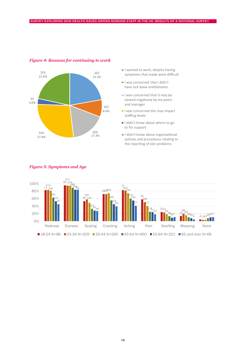

### *Figure 4: Reasons for continuing to work*

- symptoms that made w symptoms that made work difficult I wanted to work, despite having
- I was concerned that I didn't have sick leave entitlements
- $\blacksquare$  I was concerned that it may be viewed negatively by my peers viewed negatively by my peers and manager is concerned t
- I was concerned this may impact - Twas concerned this may impact<br>staffing levels
- I didn't know about where to go to for support the report interests go
- I didn't know about organisational policies and procedures relating to the reporting of skin problems



#### *Figure 5: Symptoms and Age*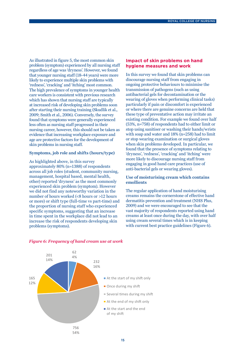As illustrated in figure 5, the most common skin problem (symptom) experienced by all nursing staff regardless of age was 'dryness'. However, we found that younger nursing staff (18-44 years) were more likely to experience multiple skin problems with 'redness', 'cracking' and 'itching' most common. The high prevalence of symptoms in younger health care workers is consistent with previous research which has shown that nursing staff are typically at increased risk of developing skin problems soon after starting their nursing training (Skudlik et al., 2009; Smith et al., 2006). Conversely, the survey found that symptoms were generally experienced less often as nursing staff progressed in their nursing career, however, this should not be taken as evidence that increasing workplace exposure and age are protective factors for the development of skin problems in nursing staff.

#### **Symptoms, job role and shifts (hours/type)**

As highlighted above, in this survey approximately 80% (n=1388) of respondents across all job roles (student, community nursing, management, hospital based, mental health, other) reported 'dryness' as the most commonly experienced skin problem (symptom). However we did not find any noteworthy variation in the number of hours worked (<8 hours or >12 hours or more) or shift type (full-time vs part-time) and the proportion of nursing staff who experienced specific symptoms, suggesting that an increase in time spent in the workplace did not lead to an increase the risk of respondents developing skin problems (symptoms).

### **Impact of skin problems on hand hygiene measures and work**

In this survey we found that skin problems can discourage nursing staff from engaging in ongoing protective behaviours to minimise the transmission of pathogens (such as using antibacterial gels for decontamination or the wearing of gloves when performing clinical tasks) particularly if pain or discomfort is experienced or where there are genuine concerns are held that these type of preventative action may irritate an existing condition. For example we found over half (53%, n=758) of respondents had to either limit or stop using sanitiser or washing their hands/wrists with soap and water and 18% (n=258) had to limit or stop wearing examination or surgical gloves when skin problems developed. In particular, we found that the presence of symptoms relating to 'dryness', 'redness', 'cracking' and 'itching' were more likely to discourage nursing staff from engaging in good hand care practices (use of anti-bacterial gels or wearing gloves).

#### **Use of moisturising cream which contains emollients**

The regular application of hand moisturising creams remains the cornerstone of effective hand dermatitis prevention and treatment (NHS Plus, 2009) and we were encouraged to see that the vast majority of respondents reported using hand creams at least once during the day, with over half using cream several times which is in keeping with current best practice guidelines (Figure 6).



#### *Figure 6: Frequency of hand cream use at work*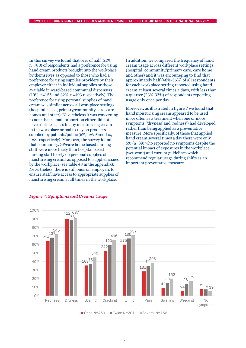In this survey we found that over of half (51%, n=788) of respondents had a preference for using hand cream products brought into the workplace by themselves as opposed to those who had a preference for using supplies providers by their employer either in individual supplies or those available in ward-based communal dispensers (10%, n=155 and 32%, n=493 respectively). The preference for using personal supplies of hand cream was similar across all workplace settings (hospital based, primary/community care, care homes and other). Nevertheless it was concerning to note that a small proportion either did not have routine access to any moisturising cream in the workplace or had to rely on products supplied by patients/public (6%, n=99 and 1%, n=8 respectively). Moreover, the survey found that community/GP/care home based nursing staff were more likely than hospital based nursing staff to rely on personal supplies of moisturising creams as opposed to supplies issued by the workplace (see table 48 in the appendix). Nevertheless, there is still onus on employers to ensure staff have access to appropriate supplies of moisturising cream at all times in the workplace.

In addition, we compared the frequency of hand cream usage across different workplace settings (hospital, community/primary care, care home and other) and it was encouraging to find that approximately half (48%-56%) of all respondents for each workplace setting reported using hand cream at least several times a days, with less than a quarter (23%-33%) of respondents reporting usage only once per day.

Moreover, as illustrated in figure 7 we found that hand moisturising cream appeared to be used more often as a treatment when one or more symptoms ('dryness' and 'redness') had developed rather than being applied as a preventative measure. More specifically, of those that applied hand cream several times a day there were only 5% (n=39) who reported no symptoms despite the potential impact of exposures in the workplace (wet-work) and current guidelines which recommend regular usage during shifts as an important preventative measure.



#### *Figure 7: Symptoms and Creams Usage*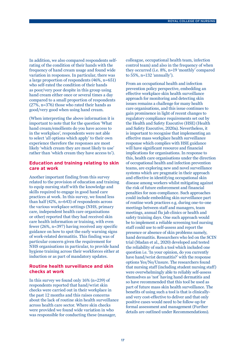In addition, we also compared respondents selfrating of the condition of their hands with the frequency of hand cream usage and found wide variation in responses. In particular, there was a large proportion of respondents (46%, n=651) who self-rated the condition of their hands as poor/very poor despite in this group using hand cream either once or several times a day compared to a small proportion of respondents (27%, n=376) those who rated their hands as good/very good when using hand cream.

(When interpreting the above information it is important to note that for the question 'What hand cream/emollients do you have access to in the workplace', respondents were not able to select 'all options which apply' to their own experience therefore the responses are most likely 'which cream they are most likely to use' rather than 'which cream they have access to').

#### **Education and training relating to skin care at work**

Another important finding from this survey related to the provision of education and training to equip nursing staff with the knowledge and skills required to engage in good hand care practices at work. In this survey, we found less than half (42%, n=643) of respondents across the various workplace settings (NHS, primary care, independent health care organisations or other) reported that they had received skin care health information or training, with even fewer (26%, n=397) having received any specific guidance on how to spot the early warning signs of work-related dermatitis. This finding was of particular concern given the requirement for NHS organisations in particular, to provide hand hygiene training across their workforces either at induction or as part of mandatory updates.

### **Routine health surveillance and skin checks at work**

In this survey we found only 16% (n=239) of respondents reported that hand/wrist skin checks were carried out in their workplace in the past 12 months and this raises concerns about the lack of routine skin health surveillance across health care sector. Where skin checks were provided we found wide variation in who was responsible for conducting these (manager,

colleague, occupational health team, infection control team) and also in the frequency of when they occurred (i.e. 8%, n=19 'monthly' compared to 55%, n=132 'annually').

From an occupational health and infection prevention policy perspective, embedding an effective workplace skin health surveillance approach for monitoring and detecting skin issues remains a challenge for many health care organisations, and this issue continues to gain prominence in light of recent changes to regulatory compliance requirements set out by the Health and Safety Executive (HSE) (Health and Safety Executive, 2020a). Nevertheless, it is important to recognise that implementing an effective mass workplace health surveillance response which complies with HSE guidance will have significant resource and financial implications for organisations. In response to this, health care organisations under the direction of occupational health and infection prevention teams, are exploring new and novel surveillance systems which are pragmatic in their approach and effective in identifying occupational skin disease among workers whilst mitigating against the risk of future enforcement and financial penalties for non-compliance. Such approaches could include embedding skin surveillance part of routine work practices e.g. during one-to-one meetings between staff and managers, team meetings, annual flu jab clinics or health and safety training days. One such approach would be to implement a reliable screening tool nursing staff could use to self-assess and report the presence or absence of skin problems namely, hand dermatitis. Researchers who led on the SCIN trial (Madan et al., 2020) developed and tested the reliability of such a tool which included one question i.e. 'In your opinion, do you currently have hand/wrist dermatitis?' with the response options Yes/No/Unsure. The researchers found that nursing staff (including student nursing staff) were overwhelmingly able to reliably self-assess themselves as 'not' having hand dermatitis and so have recommended that this tool be used as part of future mass skin health surveillance. The benefits of using such a tool is that is clinicallyand very cost-effective to deliver and that only positive cases would need to be follow-up for formal assessment and management (Further details are outlined under Recommendations).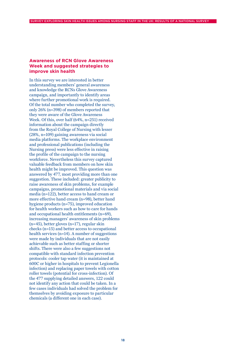### **Awareness of RCN Glove Awareness Week and suggested strategies to improve skin health**

In this survey we are interested in better understanding members' general awareness and knowledge the RCNs Glove Awareness campaign, and importantly to identify areas where further promotional work is required. Of the total number who completed the survey, only 26% (n=398) of members reported that they were aware of the Glove Awareness Week. Of this, over half (64%, n=251) received information about the campaign directly from the Royal College of Nursing with lesser (28%, n=109) gaining awareness via social media platforms. The workplace environment and professional publications (including the Nursing press) were less effective in raising the profile of the campaign to the nursing workforce. Nevertheless this survey captured valuable feedback from members on how skin health might be improved. This question was answered by 477, most providing more than one suggestion. These included: greater publicity to raise awareness of skin problems, for example campaigns, promotional materials and via social media (n=122), better access to hand cream or more effective hand cream (n=98), better hand hygiene products (n=75), improved education for health workers such as how to care for hands and occupational health entitlements (n=69), increasing managers' awareness of skin problems (n=45), better gloves (n=17), regular skin checks (n=15) and better access to occupational health services (n=14). A number of suggestions were made by individuals that are not easily achievable such as better staffing or shorter shifts. There were also a few suggestions not compatible with standard infection prevention protocols: cooler tap water (it is maintained at 600C or higher in hospitals to prevent Legionella infection) and replacing paper towels with cotton roller towels (potential for cross-infection). Of the 477 supplying detailed answers, 122 could not identify any action that could be taken. In a few cases individuals had solved the problem for themselves by avoiding exposure to particular chemicals (a different one in each case).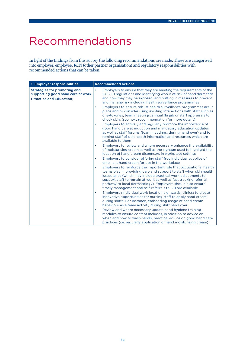# Recommendations

In light of the findings from this survey the following recommendations are made. These are categorised into employer, employee, RCN (other partner organisation) and regulatory responsibilities with recommended actions that can be taken.

| 1. Employer responsibilities                                                                  | <b>Recommended actions</b>                                                                                                                                                                                                                                                                                                                                                                                                                                                                                                                                                                                                                                                                                                                                                                                                                                                                                                                                                                                                                                                                                |
|-----------------------------------------------------------------------------------------------|-----------------------------------------------------------------------------------------------------------------------------------------------------------------------------------------------------------------------------------------------------------------------------------------------------------------------------------------------------------------------------------------------------------------------------------------------------------------------------------------------------------------------------------------------------------------------------------------------------------------------------------------------------------------------------------------------------------------------------------------------------------------------------------------------------------------------------------------------------------------------------------------------------------------------------------------------------------------------------------------------------------------------------------------------------------------------------------------------------------|
| Strategies for promoting and<br>supporting good hand care at work<br>(Practice and Education) | Employers to ensure that they are meeting the requirements of the<br>$\bullet$<br>COSHH regulations and identifying who is at-risk of hand dermatitis<br>and how they may be exposed, and putting in measures to prevent<br>and manage risk including health surveillance programmes<br>Employers to ensure robust health surveillance programmes are in<br>$\bullet$<br>place and to consider using existing interactions with staff such as<br>one-to-ones; team meetings, annual flu jab or staff appraisals to<br>check skin. (see next recommendation for more details)<br>Employers to actively and regularly promote the importance of<br>$\bullet$<br>good hand care at induction and mandatory education updates<br>as well as staff forums (team meetings, during hand over) and to<br>remind staff of skin health information and resources which are<br>available to them<br>Employers to review and where necessary enhance the availability<br>$\bullet$<br>of moisturising cream as well as the signage used to highlight the                                                              |
|                                                                                               | location of hand cream dispensers in workplace settings<br>Employers to consider offering staff free individual supplies of<br>$\bullet$<br>emollient hand cream for use in the workplace<br>Employers to reinforce the important role that occupational health<br>$\bullet$<br>teams play in providing care and support to staff when skin health<br>issues arise (which may include practical work adjustments to<br>support staff to remain at work as well as fast tracking referral<br>pathway to local dermatology). Employers should also ensure<br>timely management and self-referrals to OH are available.<br>Employers (individual work location e.g. wards, clinics) to create<br>$\bullet$<br>innovative opportunities for nursing staff to apply hand cream<br>during shifts. For instance, embedding usage of hand cream<br>behaviour as a team activity during shift hand over.<br>Review and where necessary update hand hygiene training<br>$\bullet$<br>modules to ensure content includes, in addition to advice on<br>when and how to wash hands, practical advice on good hand care |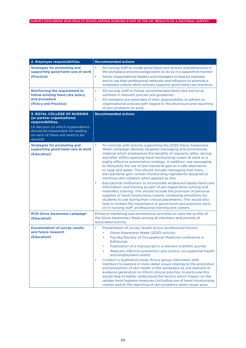| 2. Employee responsibilities                                                                                                                                                                                    | <b>Recommended actions</b>                                                                                                                                                                                                                                                                                                                                                                                                                                                                                                                                                                                                                                                                                                                                                                                                                                                                                                                                                                                                                                                                                   |
|-----------------------------------------------------------------------------------------------------------------------------------------------------------------------------------------------------------------|--------------------------------------------------------------------------------------------------------------------------------------------------------------------------------------------------------------------------------------------------------------------------------------------------------------------------------------------------------------------------------------------------------------------------------------------------------------------------------------------------------------------------------------------------------------------------------------------------------------------------------------------------------------------------------------------------------------------------------------------------------------------------------------------------------------------------------------------------------------------------------------------------------------------------------------------------------------------------------------------------------------------------------------------------------------------------------------------------------------|
| <b>Strategies for promoting and</b><br>supporting good hand care at work<br>(Practice)                                                                                                                          | All nursing staff to model good hand care actions and behaviours in<br>the workplace and encourage peers to do so in a supportive manner.<br>Senior organisational leaders and managers to lead by example<br>$\bullet$<br>and to use their professional networks and influence to promote a<br>workplace culture which actively supports good hand care practices.                                                                                                                                                                                                                                                                                                                                                                                                                                                                                                                                                                                                                                                                                                                                          |
| Reinforcing the requirement to<br>follow existing hand care policy<br>and procedure<br>(Policy and Practice)                                                                                                    | All nursing staff to follow recommended hand care advice as<br>$\bullet$<br>outlined in relevant policies and guidelines.<br>All members are reminded of their responsibility to adhere to<br>$\bullet$<br>organisational policies with regard to the disclosure and reporting<br>of skin problems at work.                                                                                                                                                                                                                                                                                                                                                                                                                                                                                                                                                                                                                                                                                                                                                                                                  |
| <b>3. ROYAL COLLEGE OF NURSING</b><br>(or partner organisations)<br>responsibilities.<br>(A decision on which organisations<br>should be responsible for leading<br>on each of these will need to be<br>agreed) | <b>Recommended actions</b>                                                                                                                                                                                                                                                                                                                                                                                                                                                                                                                                                                                                                                                                                                                                                                                                                                                                                                                                                                                                                                                                                   |
| <b>Strategies for promoting and</b><br>supporting good hand care at work<br>(Education)                                                                                                                         | $\bullet$<br>To coincide with activity supporting the 2020 Glove Awareness<br>Week campaign develop targeted messaging and promotional<br>material which emphasises the benefits of regularly (after, during<br>and after shifts) applying hand moisturising cream at work as a<br>highly effective preventative strategy. In addition, use messaging<br>to demystify the use of anti-bacterial gels as a safe alternative<br>to soap and water. This should include messaging that many<br>anti-bacterial gels contain moisturising ingredients designed to<br>minimise skin irritation when applied as dire<br>Educational institutions to incorporate evidenced-based hand care<br>$\bullet$<br>information and training as part of pre-registration nursing and<br>midwifery training. This should include the provision of personal<br>supplies of hand moisturising creams containing emollients for<br>students to use during their clinical placements. This would also<br>help to embed the importance of good hand care practices early<br>on in nursing staff' professional training and careers. |
| <b>RCN Glove Awareness campaign</b><br>(Education)                                                                                                                                                              | Enhance marketing and promotional activities to raise the profile of<br>the Glove Awareness Week among all members and periods of<br>associated activity.                                                                                                                                                                                                                                                                                                                                                                                                                                                                                                                                                                                                                                                                                                                                                                                                                                                                                                                                                    |
| <b>Dissemination of survey results</b><br>and future research<br>(Education)                                                                                                                                    | $\bullet$<br>Presentation of survey results across professional forums<br>Glove Awareness Week (2020) activity<br>Faculty/Society of Occupational Medicine conference in<br>٠<br>Edinburgh<br>Publication of a manuscript in a relevant scientific journal<br>Relevant infection prevention and control, occupational health<br>and employment events<br>Conduct a qualitative study (focus-group interviews) with<br>$\bullet$<br>members to explore in more detail issues relating to the promotion<br>and prevention of skin health in the workplace as one element of<br>evidence generation to inform clinical practice. In particular this<br>would help to better understand the factors which impact on the<br>uptake hand hygiene measures (including use of hand moisturising<br>cream) and of the reporting of skin problems when issues arise.                                                                                                                                                                                                                                                   |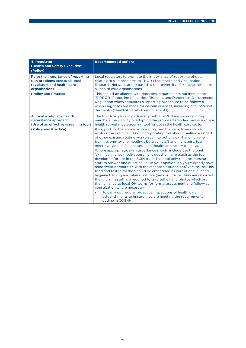| 4. Regulator<br>(Health and Safety Executive)<br>(Policy)                                                                                   | <b>Recommended actions</b>                                                                                                                                                                                                                                                                                                                                                                                                                                                                                                                                                                                                                                                                                                                                                                                                                                                                                                                                                                                                                                                                                                                                                                                                                                                                                                                                                                                                              |
|---------------------------------------------------------------------------------------------------------------------------------------------|-----------------------------------------------------------------------------------------------------------------------------------------------------------------------------------------------------------------------------------------------------------------------------------------------------------------------------------------------------------------------------------------------------------------------------------------------------------------------------------------------------------------------------------------------------------------------------------------------------------------------------------------------------------------------------------------------------------------------------------------------------------------------------------------------------------------------------------------------------------------------------------------------------------------------------------------------------------------------------------------------------------------------------------------------------------------------------------------------------------------------------------------------------------------------------------------------------------------------------------------------------------------------------------------------------------------------------------------------------------------------------------------------------------------------------------------|
| Raise the importance of reporting<br>skin problems across all local<br>regulators and health care<br>organisations<br>(Policy and Practice) | Local regulators to promote the importance of reporting of data<br>relating to skin problems to THOR (The Health and Occupation<br>Research Network group based at the University of Manchester) across<br>all health care organisations.<br>This should be aligned with reporting requirements outlined in the<br>'RIDDOR- Reporting of Injuries, Diseases, and Dangerous Occurrences<br>Regulation which stipulates a reporting procedure to be followed<br>when diagnoses are made for certain diseases, including occupational<br>dermatitis (Health & Safety Executive, 2013).                                                                                                                                                                                                                                                                                                                                                                                                                                                                                                                                                                                                                                                                                                                                                                                                                                                     |
| A novel workplace health<br>surveillance approach<br>(Use of an effective screening tool)<br>(Policy and Practice)                          | The HSE to explore in partnership with the RCN and working group<br>members the viability of adopting the proposed standardised workplace<br>health surveillance screening tool for use in the health care sector.<br>If support for the above proposal is given then employers should<br>explore the practicalities of incorporating this skin surveillance as part<br>of other existing routine workplace interactions e.g. hand hygiene<br>training, one-to-one meetings between staff and managers, team<br>meetings, annual flu jabs sessions/health and safety training).<br>Where appropriate, skin surveillance should include use the brief<br>'skin health check' self-assessment questionnaire (such as the tool<br>developed for use in the SCIN trial). This tool only requires nursing<br>staff to answer one question i.e. 'In your opinion, do you currently have<br>hand/wrist dermatitis?' with the response options Yes/No/Unsure. This<br>tried and tested method could be embedded as part of annual hand<br>hygiene training and where positive (yes) or unsure cases are reported<br>then nursing staff are required to take selfie hand photos which are<br>then emailed to local OH teams for formal assessment and follow-up<br>consultation where necessary.<br>To carry out regular proactive inspections of health care<br>establishments to ensure they are meeting the requirements<br>outline in COSHH. |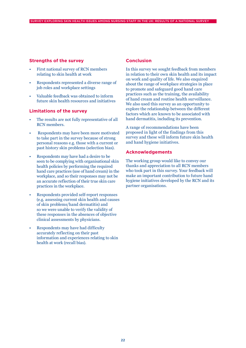### **Strengths of the survey**

- First national survey of RCN members relating to skin health at work
- Respondents represented a diverse range of job roles and workplace settings
- Valuable feedback was obtained to inform future skin health resources and initiatives

#### **Limitations of the survey**

- The results are not fully representative of all RCN members.
- Respondents may have been more motivated to take part in the survey because of strong personal reasons e.g. those with a current or past history skin problems (selection bias).
- Respondents may have had a desire to be seen to be complying with organisational skin health policies by performing the required hand care practices (use of hand cream) in the workplace, and so their responses may not be an accurate reflection of their true skin care practices in the workplace.
- Respondents provided self-report responses (e.g. assessing current skin health and causes of skin problems/hand dermatitis) and so we were unable to verify the validity of these responses in the absences of objective clinical assessments by physicians.
- Respondents may have had difficulty accurately reflecting on their past information and experiences relating to skin health at work (recall bias).

#### **Conclusion**

In this survey we sought feedback from members in relation to their own skin health and its impact on work and quality of life. We also enquired about the range of workplace strategies in place to promote and safeguard good hand care practices such as the training, the availability of hand cream and routine health surveillance. We also used this survey as an opportunity to explore the relationship between the different factors which are known to be associated with hand dermatitis, including its prevention.

A range of recommendations have been proposed in light of the findings from this survey and these will inform future skin health and hand hygiene initiatives.

#### **Acknowledgements**

The working group would like to convey our thanks and appreciation to all RCN members who took part in this survey. Your feedback will make an important contribution to future hand hygiene initiatives developed by the RCN and its partner organisations.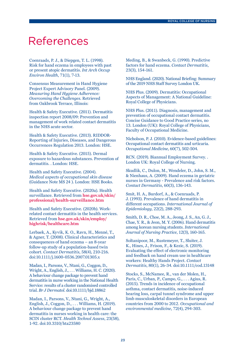# References

Coenraads, P. J., & Diepgen, T. L. (1998). Risk for hand eczema in employees with past or present atopic dermatitis. *Int Arch Occup Environ Health*, 71(1), 7-13.

Consensus Measurement in Hand Hygiene Project Expert Advisory Panel. (2009). *Measuring Hand Hygiene Adherence: Overcoming the Challenges*. Retrieved from Oakbrook Terrace, Illinois:

Health & Safety Executive. (2011). Dermatitis inspection report 2008/09: Prevention and management of work related contact dermatitis in the NHS acute sector.

Health & Safety Executive. (2013). RIDDOR-Reporting of Injuries, Diseases, and Dangerous Occurrences Regulation 2013. London: HSE.

Health & Safety Executive. (2015). Dermal exposure to hazardous substances. Prevention of dermatitis. . London: HSE.

Health and Safety Executive. (2004). *Medical aspects of occupational skin disease* (Guidance Note MS 24 ). London: HSE Books.

Health and Safety Executive. (2020a). Health surveillance. Retrieved from **hse.gov.uk/skin/ professional/health-surveillance.htm**

Health and Safety Executive. (2020b). Workrelated contact dermatitis in the health services. Retrieved from **hse.gov.uk/skin/employ/ highrisk/healthcare.htm**

Lerbaek, A., Kyvik, K. O., Ravn, H., Menné, T., & Agner, T. (2008). Clinical characteristics and consequences of hand eczema – an 8-year follow-up study of a population-based twin cohort. *Contact Dermatitis*, 58(4), 210-216. doi:10.1111/j.1600-0536.2007.01305.x

Madan, I., Parsons, V., Ntani, G., Coggon, D., Wright, A., English, J., . . . Williams, H. C. (2020). A behaviour change package to prevent hand dermatitis in nurse working in the National Health Service: results of a cluster randomised controlled trial. *Br J Dermatol*. doi:10.1111/bjd.18862

Madan, I., Parsons, V., Ntani, G., Wright, A., English, J., Coggon, D., . . . Williams, H. (2019). A behaviour change package to prevent hand dermatitis in nurses working in health care: the SCIN cluster RCT. *Health Technol Assess*, 23(58), 1-92. doi:10.3310/hta23580

Meding, B., & Swanbeck, G. (1990). Predictive factors for hand eczema. *Contact Dermatitis*, 23(3), 154-161.

NHS England. (2020). National Briefing: Summary of the 2019 NHS Staff Survey London UK.

NHS Plus. (2009). Dermatitis: Occupational Aspects of Management: A National Guideline: Royal College of Physicians.

NHS Plus. (2011). Diagnosis, management and prevention of occupational contact dermatitis. Concise Guidance to Good Practice series, no 13. London (UK): Royal College of Physicians, Faculty of Occupational Medicine.

Nicholson, P. J. (2010). Evidence-based guidelines: Occupational contact dermatitis and urticaria. *Occupational Medicine*, 60(7), 502-504.

RCN. (2019). Biannual Employment Survey. . London UK: Royal College of Nursing.

Skudlik, C., Dulon, M., Wendeler, D., John, S. M., & Nienhaus, A. (2009). Hand eczema in geriatric nurses in Germany - Prevalence and risk factors. *Contact Dermatitis*, 60(3), 136-143.

Smit, H. A., Burdorf, A., & Coenraads, P. J. (1993). Prevalence of hand dermatitis in different occupations. *International Journal of Epidemiology*, 22(2), 288-293.

Smith, D. R., Choe, M. A., Jeong, J. S., An, G. J., Chae, Y. R., & Jeon, M. Y. (2006). Hand dermatitis among korean nursing students. *International Journal of Nursing Practice*, 12(3), 160-165.

Soltanipoor, M., Rustemeyer, T., Sluiter, J. K., Hines, J., Frison, F., & Kezic, S. (2019). Evaluating the effect of electronic monitoring and feedback on hand cream use in healthcare workers: Healthy Hands Project. *Contact Dermatitis*, 80(1), 26-34. doi:10.1111/cod.13148

Stocks, S., McNamee, R., van der Molen, H., Paris, C., Urban, P., Campo, G., . . . Agius, R. (2015). Trends in incidence of occupational asthma, contact dermatitis, noise-induced hearing loss, carpal tunnel syndrome and upper limb musculoskeletal disorders in European countries from 2000 to 2012. *Occupational and environmental medicine*, 72(4), 294-303.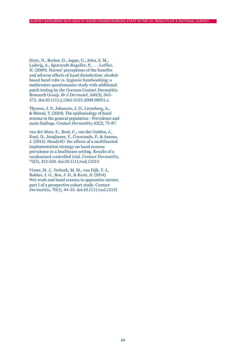Stutz, N., Becker, D., Jappe, U., John, S. M., Ladwig, A., Spornraft-Ragaller, P., . . . Loffler, H. (2009). Nurses' perceptions of the benefits and adverse effects of hand disinfection: alcoholbased hand rubs vs. hygienic handwashing: a multicentre questionnaire study with additional patch testing by the German Contact Dermatitis Research Group. *Br J Dermatol*, 160(3), 565- 572. doi:10.1111/j.1365-2133.2008.08951.x

Thyssen, J. P., Johansen, J. D., Linneberg, A., & Menné, T. (2010). The epidemiology of hand eczema in the general population - Prevalence and main findings. *Contact Dermatitis*, 62(2), 75-87.

van der Meer, E., Boot, C., van der Gulden, J., Knol, D., Jungbauer, F., Coenraads, P., & Anema, J. (2015). Hands4U: the effects of a multifaceted implementation strategy on hand eczema prevalence in a healthcare setting. Results of a randomized controlled trial. *Contact Dermatitis*, 72(5), 312-324. doi:10.1111/cod.12313

Visser, M. J., Verberk, M. M., van Dijk, F. J., Bakker, J. G., Bos, J. D., & Kezic, S. (2014). Wet work and hand eczema in apprentice nurses: part I of a prospective cohort study. *Contact Dermatitis*, 70(1), 44-55. doi:10.1111/cod.12131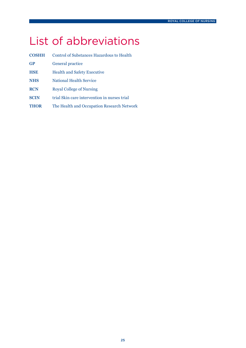# List of abbreviations

| <b>COSHH</b> | Control of Substances Hazardous to Health    |
|--------------|----------------------------------------------|
| <b>GP</b>    | General practice                             |
| <b>HSE</b>   | <b>Health and Safety Executive</b>           |
| <b>NHS</b>   | <b>National Health Service</b>               |
| <b>RCN</b>   | <b>Royal College of Nursing</b>              |
| <b>SCIN</b>  | trial Skin care intervention in nurses trial |
| <b>THOR</b>  | The Health and Occupation Research Network   |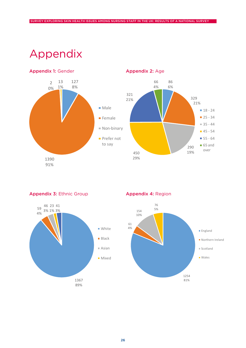# Appendix



Appendix 2: Age



Appendix 3: Ethnic Group



Appendix 4: Region

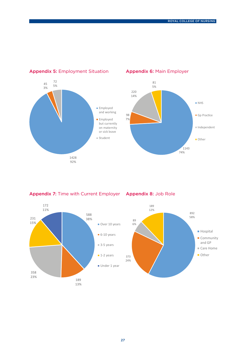

## Appendix 5: Employment Situation

Appendix 6: Main Employer



Appendix 7: Time with Current Employer Appendix 8: Job Role

189 13%

358 23%

231 15% 172 11%

> 588 38%

> > $=$  3-5 years

**1**-2 years

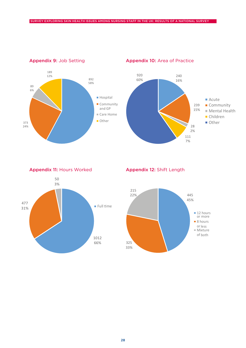

Appendix 9: Job Setting



Appendix 10: Area of Practice



240

Appendix 11: Hours Worked



Appendix 12: Shift Length

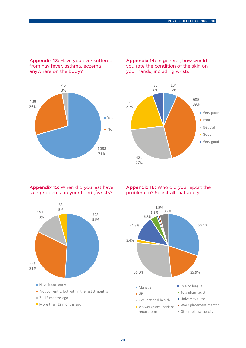Appendix 13: Have you ever suffered from hay fever, asthma, eczema anywhere on the body?



### Appendix 14: In general, how would you rate the condition of the skin on your hands, including wrists?

26%



#### Appendix 15: When did you last have Appendix 15: When ald you last have skin problems on your hands/wrist



## Appendix 16: Who did you report the **Appendix 10:** Who did you report

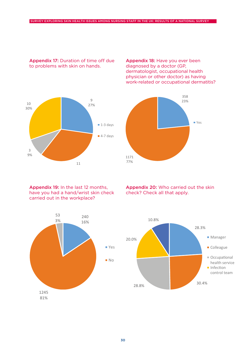1171 77%

#### Appendix 17: Duration of time off due to problems with skin on hands. on or unies

Appendix 18: Have you ever been diagnosed by a doctor (GP, dermatologist, occupational health physician or other doctor) as having work-related or occupational dermatitis?

> 358 23%

> > $\blacksquare$  Yes

16%



Appendix 19: In the last 12 months, have you had a hand/wrist skin check carried out in the workplace?



Appendix 20: Who carried out the skin





3%

check? Check all that apply.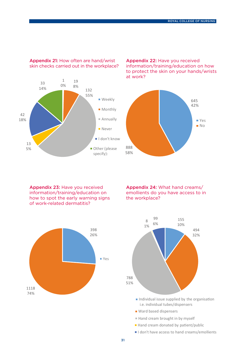

Appendix 21: How often are hand/wrist skin checks carried out in the workplace?

Appendix 22: Have you received **Appendix 22.** Have you received<br>information/training/education on how to protect the skin on your hands/wrists at work?



Appendix 23: Have you received information/training/education on how to spot the early warning signs of work-related dermatitis? 888





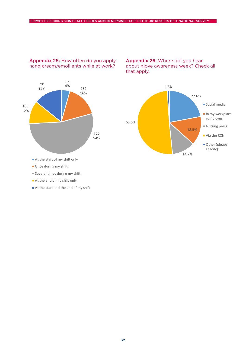

### Appendix 25: How often do you apply hand cream/emollients while at work?

Appendix 26: Where did you hear about glove awareness week? Check all that apply.  $\mathbf{M}$ 



- At the start of my shift only
- Once during my shift
- Several times during my shift
- At the end of my shift only
- At the start and the end of my shift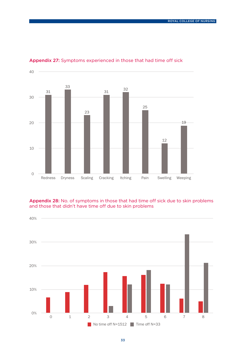

### Appendix 27: Symptoms experienced in those that had time off sick

Appendix 28: No. of symptoms in those that had time off sick due to skin problems and those that didn't have time off due to skin problems

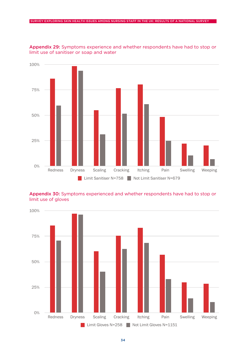

Appendix 29: Symptoms experience and whether respondents have had to stop or limit use of sanitiser or soap and water

### Appendix 30: Symptoms experienced and whether respondents have had to stop or limit use of gloves

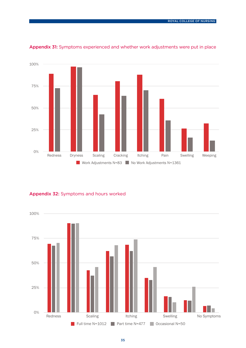

Appendix 31: Symptoms experienced and whether work adjustments were put in place

Appendix 32: Symptoms and hours worked

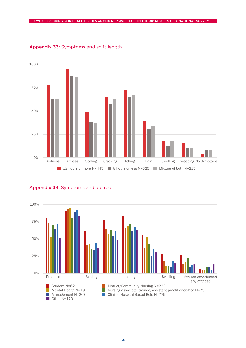

### Appendix 33: Symptoms and shift length



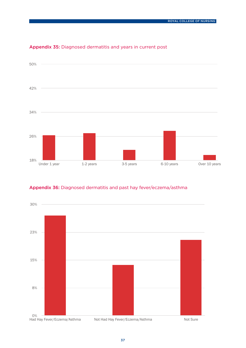

## Appendix 35: Diagnosed dermatitis and years in current post



### Appendix 36: Diagnosed dermatitis and past hay fever/eczema/asthma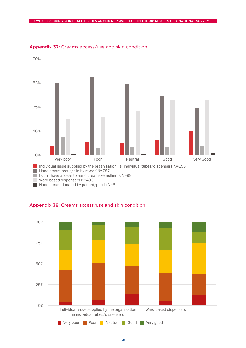

#### Appendix 37: Creams access/use and skin condition

Hand cream donated by patienty public n



## Appendix 38: Creams access/use and skin condition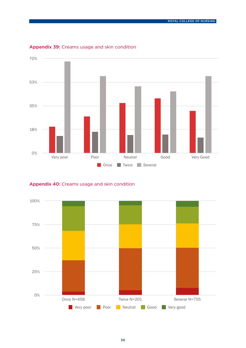

### Appendix 39: Creams usage and skin condition

# Appendix 40: Creams usage and skin condition

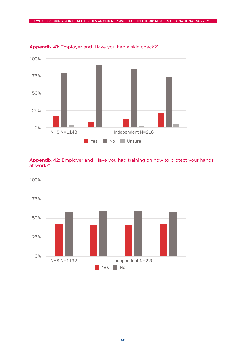

Appendix 41: Employer and 'Have you had a skin check?'

## Appendix 42: Employer and 'Have you had training on how to protect your hands at work?'

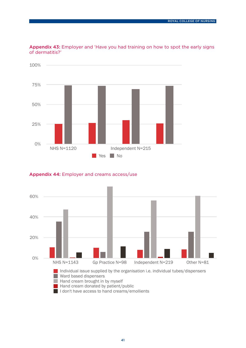

Appendix 43: Employer and 'Have you had training on how to spot the early signs of dermatitis?'

## A<mark>ppendix 44:</mark> Employer and creams access/use

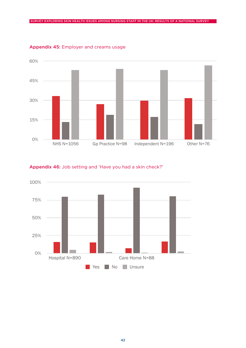

Appendix 45: Employer and creams usage

### Appendix 46: Job setting and 'Have you had a skin check?'

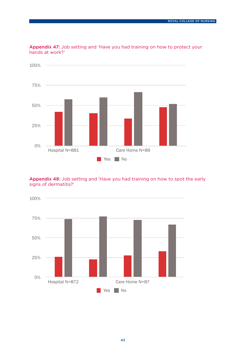

Appendix 47: Job setting and 'Have you had training on how to protect your<br>hands at work?' hands at work?'

25%

Appendix 48: Job setting and 'Have you had training on how to spot the early signs of dermatitis?'

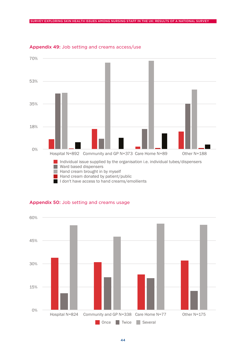

#### Appendix 49: Job setting and creams access/use

# Appendix 50: Job setting and creams usage